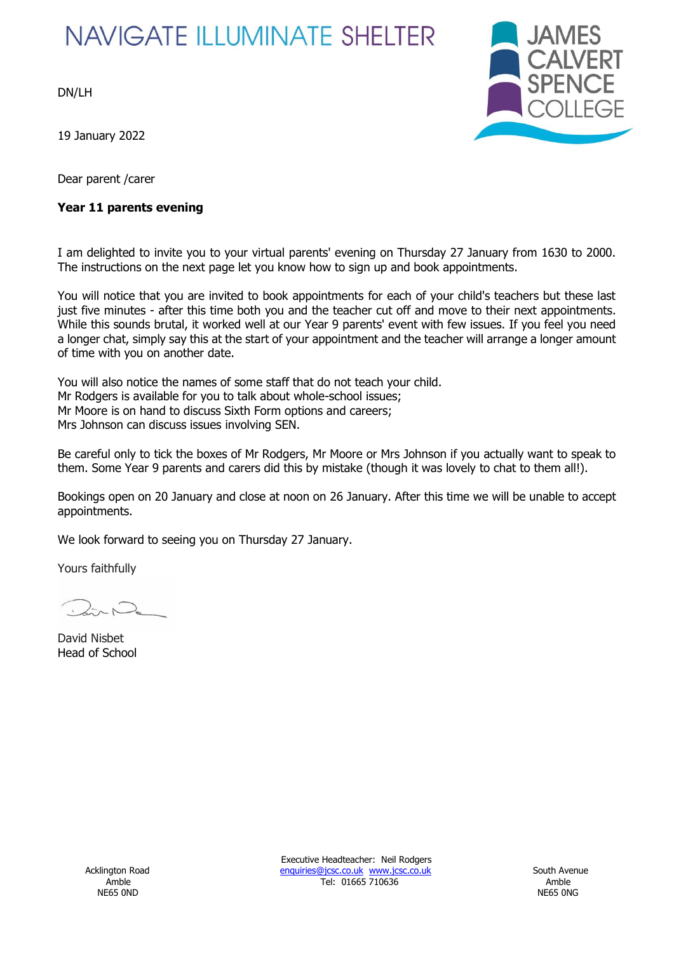# **NAVIGATE ILLUMINATE SHELTER**

DN/LH

19 January 2022

Dear parent /carer

## **Year 11 parents evening**



I am delighted to invite you to your virtual parents' evening on Thursday 27 January from 1630 to 2000. The instructions on the next page let you know how to sign up and book appointments.

You will notice that you are invited to book appointments for each of your child's teachers but these last just five minutes - after this time both you and the teacher cut off and move to their next appointments. While this sounds brutal, it worked well at our Year 9 parents' event with few issues. If you feel you need a longer chat, simply say this at the start of your appointment and the teacher will arrange a longer amount of time with you on another date.

You will also notice the names of some staff that do not teach your child. Mr Rodgers is available for you to talk about whole-school issues; Mr Moore is on hand to discuss Sixth Form options and careers; Mrs Johnson can discuss issues involving SEN.

Be careful only to tick the boxes of Mr Rodgers, Mr Moore or Mrs Johnson if you actually want to speak to them. Some Year 9 parents and carers did this by mistake (though it was lovely to chat to them all!).

Bookings open on 20 January and close at noon on 26 January. After this time we will be unable to accept appointments.

We look forward to seeing you on Thursday 27 January.

Yours faithfully

David Nisbet Head of School

Executive Headteacher: Neil Rodgers Acklington Road **Enquiries@jcsc.co.uk www.jcsc.co.uk** South Avenue Amble Tel: 01665 710636 Amble